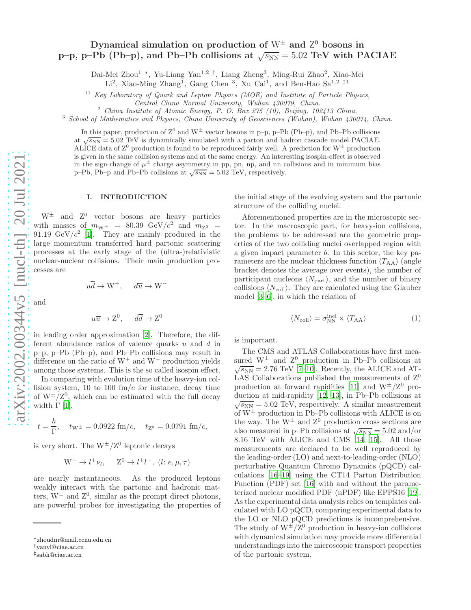# Dynamical simulation on production of  $\mathrm{W}^\pm$  and  $\mathrm{Z}^0$  bosons in p–p, p–Pb (Pb–p), and Pb–Pb collisions at  $\sqrt{s_{NN}} = 5.02 \text{ TeV}$  with PACIAE

Dai-Mei Zhou<sup>1</sup> \*, Yu-Liang Yan<sup>1,2†</sup>, Liang Zheng<sup>3</sup>, Ming-Rui Zhao<sup>2</sup>, Xiao-Mei

Li<sup>2</sup>, Xiao-Ming Zhang<sup>1</sup>, Gang Chen<sup>3</sup>, Xu Cai<sup>1</sup>, and Ben-Hao Sa<sup>1,2 ‡1</sup>

<sup>11</sup> Key Laboratory of Quark and Lepton Physics (MOE) and Institute of Particle Physics,

Central China Normal University, Wuhan 430079, China.

<sup>2</sup> China Institute of Atomic Energy, P. O. Box 275 (10), Beijing, 102413 China.

<sup>3</sup> School of Mathematics and Physics, China University of Geosciences (Wuhan), Wuhan 430074, China.

In this paper, production of  $\mathbb{Z}^0$  and  $\mathbb{W}^{\pm}$  vector bosons in p-p, p-Pb (Pb-p), and Pb-Pb collisions at  $\sqrt{s_{NN}} = 5.02$  TeV is dynamically simulated with a parton and hadron cascade model PACIAE. ALICE data of  $Z^0$  production is found to be reproduced fairly well. A prediction for  $W^{\pm}$  production is given in the same collision systems and at the same energy. An interesting isospin-effect is observed in the sign-change of  $\mu^{\pm}$  charge asymmetry in pp, pn, np, and nn collisions and in minimum bias p–Pb, Pb–p and Pb–Pb collisions at  $\sqrt{s_{NN}} = 5.02$  TeV, respectively.

### I. INTRODUCTION

 $W^{\pm}$  and  $Z^{0}$  vector bosons are heavy particles with masses of  $m_{\text{W}^\pm}$  = 80.39 GeV/ $c^2$  and  $m_{\text{Z}^0}$  = 91.19  $\text{GeV}/c^2$  [\[1\]](#page-4-0). They are mainly produced in the large momentum transferred hard partonic scattering processes at the early stage of the (ultra-)relativistic nuclear-nuclear collisions. Their main production processes are

$$
u\overline{d} \to W^+, \quad d\overline{u} \to W^-
$$

and

$$
u\overline{u} \to Z^0, \quad d\overline{d} \to Z^0
$$

in leading order approximation [\[2\]](#page-4-1). Therefore, the different abundance ratios of valence quarks  $u$  and  $d$  in p–p, p–Pb (Pb–p), and Pb–Pb collisions may result in difference on the ratio of  $W^+$  and  $W^-$  production yields among those systems. This is the so called isospin effect.

In comparing with evolution time of the heavy-ion collision system, 10 to 100  $\text{fm}/c$  for instance, decay time of  $W^{\pm}/Z^0$ , which can be estimated with the full decay width  $\Gamma$  [\[1](#page-4-0)],

$$
t = \frac{\hbar}{\Gamma}
$$
,  $t_{\text{W}^{\pm}} = 0.0922 \text{ fm}/c$ ,  $t_{\text{Z}^0} = 0.0791 \text{ fm}/c$ ,

is very short. The  $W^{\pm}/Z^0$  leptonic decays

$$
W^+ \to l^+ \nu_l, \quad Z^0 \to l^+ l^-, \ (l; e, \mu, \tau)
$$

are nearly instantaneous. As the produced leptons weakly interact with the partonic and hadronic matters,  $W^{\pm}$  and  $Z^{0}$ , similar as the prompt direct photons, are powerful probes for investigating the properties of the initial stage of the evolving system and the partonic structure of the colliding nuclei.

Aforementioned properties are in the microscopic sector. In the macroscopic part, for heavy-ion collisions, the problems to be addressed are the geometric properties of the two colliding nuclei overlapped region with a given impact parameter b. In this sector, the key parameters are the nuclear thickness function  $\langle T_{AA} \rangle$  (angle bracket denotes the average over events), the number of participant nucleons  $\langle N_{\text{part}} \rangle$ , and the number of binary collisions  $\langle N_{\text{coll}}\rangle$ . They are calculated using the Glauber model [\[3](#page-5-0)[–6\]](#page-5-1), in which the relation of

$$
\langle N_{\text{coll}} \rangle = \sigma_{\text{NN}}^{\text{inel}} \times \langle T_{\text{AA}} \rangle \tag{1}
$$

is important.

The CMS and ATLAS Collaborations have first measured  $W^{\pm}$  and  $Z^{0}$  production in Pb–Pb collisions at  $\sqrt{s_{NN}} = 2.76 \text{ TeV}$  [\[7](#page-5-2)-10]. Recently, the ALICE and AT-LAS Collaborations published the measurements of  $Z^0$ production at forward rapidities [\[11](#page-5-4)] and  $W^{\pm}/Z^0$  production at mid-rapidity [\[12,](#page-5-5) [13](#page-5-6)], in Pb–Pb collisions at  $\sqrt{s_{NN}} = 5.02 \text{ TeV}$ , respectively. A similar measurement of  $W^{\pm}$  production in Pb–Pb collisions with ALICE is on the way. The  $W^{\pm}$  and  $Z^{0}$  production cross sections are also measured in p–Pb collisions at  $\sqrt{s_{NN}} = 5.02$  and/or 8.16 TeV with ALICE and CMS [\[14](#page-5-7), [15](#page-5-8)]. All those measurements are declared to be well reproduced by the leading-order (LO) and next-to-leading-order (NLO) perturbative Quantum Chromo Dynamics (pQCD) calculations [\[16](#page-5-9)[–19](#page-5-10)] using the CT14 Parton Distribution Function (PDF) set [\[16\]](#page-5-9) with and without the parameterized nuclear modified PDF (nPDF) like EPPS16 [\[19](#page-5-10)]. As the experimental data analysis relies on templates calculated with LO pQCD, comparing experimental data to the LO or NLO pQCD predictions is incomprehensive. The study of  $W^{\pm}/Z^0$  production in heavy-ion collisions with dynamical simulation may provide more differential understandings into the microscopic transport properties of the partonic system.

<sup>∗</sup>zhoudm@mail.ccnu.edu.cn

<sup>†</sup>yanyl@ciae.ac.cn

<sup>‡</sup> sabh@ciae.ac.cn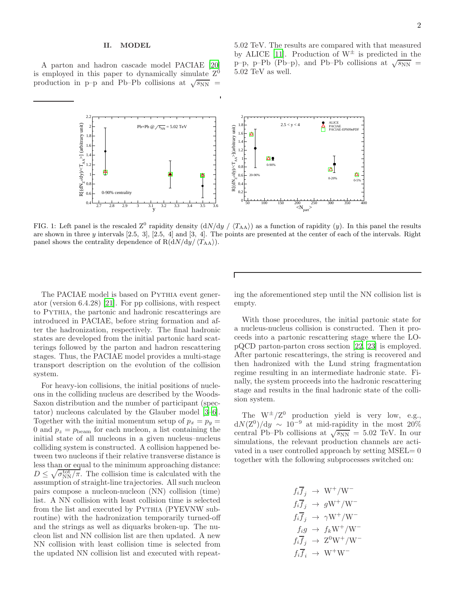## II. MODEL

A parton and hadron cascade model PACIAE [\[20\]](#page-5-11) is employed in this paper to dynamically simulate  $Z^0$ production in p–p and Pb–Pb collisions at  $\sqrt{s_{NN}}$  =

5.02 TeV. The results are compared with that measured by ALICE [\[11\]](#page-5-4). Production of  $W^{\pm}$  is predicted in the  $p-p$ , p–Pb (Pb–p), and Pb–Pb collisions at  $\sqrt{s_{NN}}$  = 5.02 TeV as well.



<span id="page-1-0"></span>FIG. 1: Left panel is the rescaled  $Z^0$  rapidity density  $\left(\frac{dN}{dy} / \left\langle T_{AA} \right\rangle\right)$  as a function of rapidity  $(y)$ . In this panel the results are shown in three y intervals [2.5, 3], [2.5, 4] and [3, 4]. The points are presented at the center of each of the intervals. Right panel shows the centrality dependence of  $R(dN/dy/\langle T_{AA}\rangle)$ .

The PACIAE model is based on PYTHIA event generator (version 6.4.28) [\[21](#page-5-12)]. For pp collisions, with respect to Pythia, the partonic and hadronic rescatterings are introduced in PACIAE, before string formation and after the hadronization, respectively. The final hadronic states are developed from the initial partonic hard scatterings followed by the parton and hadron rescattering stages. Thus, the PACIAE model provides a multi-stage transport description on the evolution of the collision system.

For heavy-ion collisions, the initial positions of nucleons in the colliding nucleus are described by the Woods-Saxon distribution and the number of participant (spectator) nucleons calculated by the Glauber model [\[3](#page-5-0)[–6](#page-5-1)]. Together with the initial momentum setup of  $p_x = p_y$ 0 and  $p_z = p_{\text{beam}}$  for each nucleon, a list containing the initial state of all nucleons in a given nucleus–nucleus colliding system is constructed. A collision happened between two nucleons if their relative transverse distance is less than or equal to the minimum approaching distance:  $D \leq \sqrt{\sigma_{\rm NN}^{\rm tot}/\pi}$ . The collision time is calculated with the assumption of straight-line trajectories. All such nucleon pairs compose a nucleon-nucleon (NN) collision (time) list. A NN collision with least collision time is selected from the list and executed by PYTHIA (PYEVNW subroutine) with the hadronization temporarily turned-off and the strings as well as diquarks broken-up. The nucleon list and NN collision list are then updated. A new NN collision with least collision time is selected from the updated NN collision list and executed with repeating the aforementioned step until the NN collision list is empty.

With those procedures, the initial partonic state for a nucleus-nucleus collision is constructed. Then it proceeds into a partonic rescattering stage where the LOpQCD parton-parton cross section [\[22,](#page-5-13) [23\]](#page-6-0) is employed. After partonic rescatterings, the string is recovered and then hadronized with the Lund string fragmentation regime resulting in an intermediate hadronic state. Finally, the system proceeds into the hadronic rescattering stage and results in the final hadronic state of the collision system.

The  $W^{\pm}/Z^0$  production yield is very low, e.g.,  $dN(Z^0)/dy \sim 10^{-9}$  at mid-rapidity in the most 20% central Pb–Pb collisions at  $\sqrt{s_{NN}}$  = 5.02 TeV. In our simulations, the relevant production channels are activated in a user controlled approach by setting MSEL= 0 together with the following subprocesses switched on:

$$
f_i \overline{f}_j \rightarrow W^+/W^-
$$
  
\n
$$
f_i \overline{f}_j \rightarrow gW^+/W^-
$$
  
\n
$$
f_i \overline{f}_j \rightarrow \gamma W^+/W^-
$$
  
\n
$$
f_i g \rightarrow f_k W^+/W^-
$$
  
\n
$$
f_i \overline{f}_j \rightarrow Z^0 W^+/W^-
$$
  
\n
$$
f_i \overline{f}_i \rightarrow W^+ W^-
$$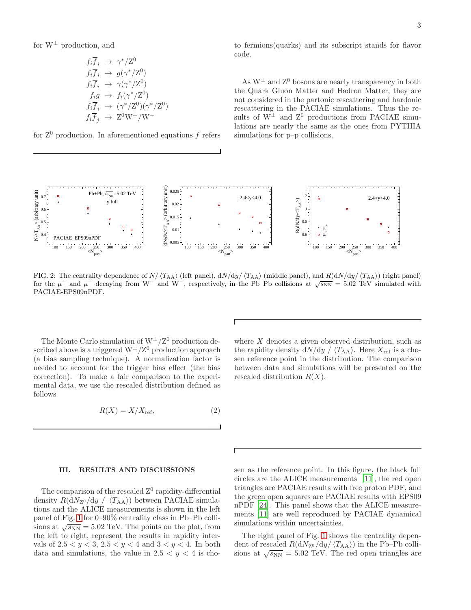for  $W^{\pm}$  production, and

$$
f_i \overline{f}_i \rightarrow \gamma^*/Z^0
$$
  
\n
$$
f_i \overline{f}_i \rightarrow g(\gamma^*/Z^0)
$$
  
\n
$$
f_i \overline{f}_i \rightarrow \gamma(\gamma^*/Z^0)
$$
  
\n
$$
f_i g \rightarrow f_i(\gamma^*/Z^0)
$$
  
\n
$$
f_i \overline{f}_i \rightarrow (\gamma^*/Z^0)(\gamma^*/Z^0)
$$
  
\n
$$
f_i \overline{f}_j \rightarrow Z^0 W^+/W^-
$$

for  $Z^0$  production. In aforementioned equations f refers

to fermions(quarks) and its subscript stands for flavor code.

As  $W^{\pm}$  and  $Z^{0}$  bosons are nearly transparency in both the Quark Gluon Matter and Hadron Matter, they are not considered in the partonic rescattering and hardonic rescattering in the PACIAE simulations. Thus the results of  $W^{\pm}$  and  $Z^{0}$  productions from PACIAE simulations are nearly the same as the ones from PYTHIA simulations for p–p collisions.



<span id="page-2-0"></span>FIG. 2: The centrality dependence of  $N/\langle T_{AA}\rangle$  (left panel),  $dN/dy/\langle T_{AA}\rangle$  (middle panel), and  $R(dN/dy/\langle T_{AA}\rangle)$  (right panel) for the  $\mu^+$  and  $\mu^-$  decaying from W<sup>+</sup> and W<sup>-</sup>, respectively, in the Pb–Pb collisions at  $\sqrt{s_{NN}} = 5.02$  TeV simulated with PACIAE-EPS09nPDF.

The Monte Carlo simulation of  $W^{\pm}/Z^0$  production described above is a triggered  $\mathrm{W}^\pm/\mathrm{Z}^0$  production approach (a bias sampling technique). A normalization factor is needed to account for the trigger bias effect (the bias correction). To make a fair comparison to the experimental data, we use the rescaled distribution defined as follows

<span id="page-2-1"></span>
$$
R(X) = X/X_{\text{ref}},\tag{2}
$$

### III. RESULTS AND DISCUSSIONS

The comparison of the rescaled  $Z^0$  rapidity-differential density  $R(\text{d}N_{Z^0}/\text{d}y / \langle T_{AA} \rangle)$  between PACIAE simulations and the ALICE measurements is shown in the left panel of Fig. [1](#page-1-0) for 0–90% centrality class in Pb–Pb collisions at  $\sqrt{s_{NN}} = 5.02$  TeV. The points on the plot, from the left to right, represent the results in rapidity intervals of  $2.5 < y < 3, 2.5 < y < 4$  and  $3 < y < 4$ . In both data and simulations, the value in  $2.5 < y < 4$  is cho-

where  $X$  denotes a given observed distribution, such as the rapidity density  $dN/dy / \langle T_{AA} \rangle$ . Here  $X_{ref}$  is a chosen reference point in the distribution. The comparison between data and simulations will be presented on the rescaled distribution  $R(X)$ .

sen as the reference point. In this figure, the black full circles are the ALICE measurements [\[11\]](#page-5-4), the red open triangles are PACIAE results with free proton PDF, and the green open squares are PACIAE results with EPS09 nPDF [\[24](#page-6-1)]. This panel shows that the ALICE measurements [\[11\]](#page-5-4) are well reproduced by PACIAE dynamical simulations within uncertainties.

The right panel of Fig. [1](#page-1-0) shows the centrality dependent of rescaled  $R(\mathrm{d}N_{\mathrm{Z}^0}/\mathrm{d}y/\langle T_{\mathrm{AA}}\rangle)$  in the Pb–Pb collisions at  $\sqrt{s_{NN}} = 5.02 \text{ TeV}$ . The red open triangles are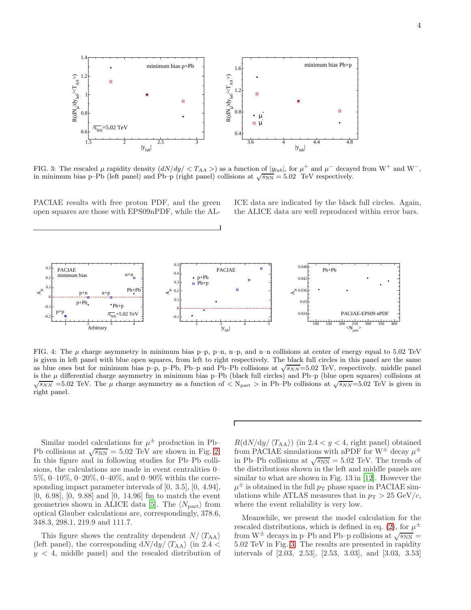

<span id="page-3-0"></span>FIG. 3: The rescaled  $\mu$  rapidity density  $(dN/dy) < T_{AA} >$  as a function of  $|y_{lab}|$ , for  $\mu^+$  and  $\mu^-$  decayed from W<sup>+</sup> and W<sup>-</sup>, in minimum bias p–Pb (left panel) and Pb–p (right panel) collisions at  $\sqrt{s_{NN}} = 5.02$  TeV respectively.

PACIAE results with free proton PDF, and the green open squares are those with EPS09nPDF, while the AL-

ICE data are indicated by the black full circles. Again, the ALICE data are well reproduced within error bars.



<span id="page-3-1"></span>FIG. 4: The  $\mu$  charge asymmetry in minimum bias p–p, p–n, n–p, and n–n collisions at center of energy equal to 5.02 TeV is given in left panel with blue open squares, from left to right respectively. The black full circles in this panel are the same as blue ones but for minimum bias p–p, p–Pb, Pb–p and Pb–Pb collisions at  $\sqrt{s_{NN}}$ =5.02 TeV, respectively. middle panel is the  $\mu$  differential charge asymmetry in minimum bias p–Pb (black full circles) and Pb–p (blue open squares) collisions at  $\sqrt{s_{NN}}$  =5.02 TeV. The  $\mu$  charge asymmetry as a function of  $\langle N_{\text{part}} \rangle$  in Pb–Pb collisions at  $\sqrt{s_{NN}}$ =5.02 TeV is given in right panel.

Similar model calculations for  $\mu^{\pm}$  production in Pb-Pb collisions at  $\sqrt{s_{NN}} = 5.02 \text{ TeV}$  are shown in Fig. [2.](#page-2-0) In this figure and in following studies for Pb–Pb collisions, the calculations are made in event centralities 0– 5%, 0–10%, 0–20%, 0–40%, and 0–90% within the corresponding impact parameter intervals of [0, 3.5], [0, 4.94], [0, 6.98], [0, 9.88] and [0, 14.96] fm to match the event geometries shown in ALICE data [\[5\]](#page-5-14). The  $\langle N_{\text{part}} \rangle$  from optical Glauber calculations are, correspondingly, 378.6, 348.3, 298.1, 219.9 and 111.7.

This figure shows the centrality dependent  $N/\langle T_{AA} \rangle$ (left panel), the corresponding  $dN/dy / \langle T_{AA} \rangle$  (in 2.4 <  $y < 4$ , middle panel) and the rescaled distribution of

 $R(dN/dy / \langle T_{AA} \rangle)$  (in 2.4 < y < 4, right panel) obtained from PACIAE simulations with nPDF for  $W^{\pm}$  decay  $\mu^{\pm}$ in Pb–Pb collisions at  $\sqrt{s_{NN}} = 5.02$  TeV. The trends of the distributions shown in the left and middle panels are similar to what are shown in Fig. 13 in [\[12\]](#page-5-5). However the  $\mu^{\pm}$  is obtained in the full  $p_{\text{T}}$  phase space in PACIAE simulations while ATLAS measures that in  $p_T > 25 \text{ GeV}/c$ , where the event reliability is very low.

Meanwhile, we present the model calculation for the rescaled distributions, which is defined in eq. [\(2\)](#page-2-1), for  $\mu^{\pm}$ from  $W^{\pm}$  decays in p–Pb and Pb–p collisions at  $\sqrt{s_{NN}}$  = 5.02 TeV in Fig. [3.](#page-3-0) The results are presented in rapidity intervals of [2.03, 2.53], [2.53, 3.03], and [3.03, 3.53]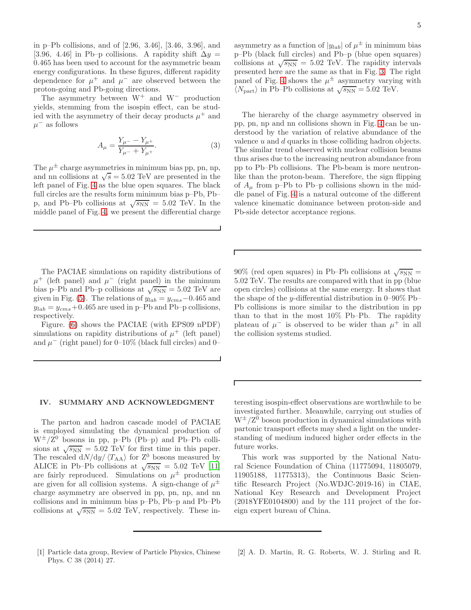in p–Pb collisions, and of [2.96, 3.46], [3.46, 3.96], and [3.96, 4.46] in Pb–p collisions. A rapidity shift  $\Delta y =$ 0.465 has been used to account for the asymmetric beam energy configurations. In these figures, different rapidity dependence for  $\mu^+$  and  $\mu^-$  are observed between the proton-going and Pb-going directions.

The asymmetry between  $W^+$  and  $W^-$  production yields, stemming from the isospin effect, can be studied with the asymmetry of their decay products  $\mu^+$  and  $\mu^-$  as follows

$$
A_{\mu} = \frac{Y_{\mu^{-}} - Y_{\mu^{+}}}{Y_{\mu^{-}} + Y_{\mu^{+}}}.
$$
\n(3)

Г

The  $\mu^{\pm}$  charge asymmetries in minimum bias pp, pn, np, and nn collisions at  $\sqrt{s} = 5.02$  TeV are presented in the left panel of Fig. [4](#page-3-1) as the blue open squares. The black full circles are the results form minimum bias p–Pb, Pb– p, and Pb–Pb collisions at  $\sqrt{s_{NN}} = 5.02$  TeV. In the middle panel of Fig. [4,](#page-3-1) we present the differential charge

The PACIAE simulations on rapidity distributions of  $\mu^+$  (left panel) and  $\mu^-$  (right panel) in the minimum bias p–Pb and Pb–p collisions at  $\sqrt{s_{NN}} = 5.02$  TeV are given in Fig. [\(5\)](#page-5-15). The relations of  $y_{lab} = y_{cms} - 0.465$  and  $y_{lab} = y_{cms} + 0.465$  are used in p-Pb and Pb-p collisions, respectively.

Figure. [\(6\)](#page-6-2) shows the PACIAE (with EPS09 nPDF) simulations on rapidity distributions of  $\mu^+$  (left panel) and  $\mu^-$  (right panel) for 0–10% (black full circles) and 0–

## IV. SUMMARY AND ACKNOWLEDGMENT

The parton and hadron cascade model of PACIAE is employed simulating the dynamical production of  $W^{\pm}/Z^0$  bosons in pp, p-Pb (Pb-p) and Pb-Pb collisions at  $\sqrt{s_{NN}} = 5.02$  TeV for first time in this paper. The rescaled  $dN/dy / \langle T_{AA} \rangle$  for  $Z^0$  bosons measured by ALICE in Pb–Pb collisions at  $\sqrt{s_{NN}} = 5.02 \text{ TeV} [11]$  $\sqrt{s_{NN}} = 5.02 \text{ TeV} [11]$ are fairly reproduced. Simulations on  $\mu^{\pm}$  production are given for all collision systems. A sign-change of  $\mu^{\pm}$ charge asymmetry are observed in pp, pn, np, and nn collisions and in minimum bias p–Pb, Pb–p and Pb–Pb collisions at  $\sqrt{s_{NN}} = 5.02$  TeV, respectively. These in-

asymmetry as a function of  $|y_{lab}|$  of  $\mu^{\pm}$  in minimum bias p–Pb (black full circles) and Pb–p (blue open squares) collisions at  $\sqrt{s_{NN}} = 5.02$  TeV. The rapidity intervals presented here are the same as that in Fig. [3.](#page-3-0) The right panel of Fig. [4](#page-3-1) shows the  $\mu^{\pm}$  asymmetry varying with  $\langle N_{\text{part}} \rangle$  in Pb–Pb collisions at  $\sqrt{s_{\text{NN}}} = 5.02 \text{ TeV}.$ 

The hierarchy of the charge asymmetry observed in pp, pn, np and nn collisions shown in Fig. [4](#page-3-1) can be understood by the variation of relative abundance of the valence u and d quarks in those colliding hadron objects. The similar trend observed with nuclear collision beams thus arises due to the increasing neutron abundance from pp to Pb–Pb collisions. The Pb-beam is more neutronlike than the proton-beam. Therefore, the sign flipping of  $A_\mu$  from p–Pb to Pb–p collisions shown in the middle panel of Fig. [4](#page-3-1) is a natural outcome of the different valence kinematic dominance between proton-side and Pb-side detector acceptance regions.

90% (red open squares) in Pb–Pb collisions at  $\sqrt{s_{NN}}$  = 5.02 TeV. The results are compared with that in pp (blue open circles) collisions at the same energy. It shows that the shape of the y-differential distribution in  $0-90\%$  Pb– Pb collisions is more similar to the distribution in pp than to that in the most 10% Pb–Pb. The rapidity plateau of  $\mu^-$  is observed to be wider than  $\mu^+$  in all the collision systems studied.

teresting isospin-effect observations are worthwhile to be investigated further. Meanwhile, carrying out studies of  $W^{\pm}/Z^0$  boson production in dynamical simulations with partonic transport effects may shed a light on the understanding of medium induced higher order effects in the future works.

This work was supported by the National Natural Science Foundation of China (11775094, 11805079, 11905188, 11775313), the Continuous Basic Scientific Research Project (No.WDJC-2019-16) in CIAE, National Key Research and Development Project (2018YFE0104800) and by the 111 project of the foreign expert bureau of China.

- <span id="page-4-0"></span>[1] Particle data group, Review of Particle Physics, Chinese Phys. C 38 (2014) 27.
- <span id="page-4-1"></span>[2] A. D. Martin, R. G. Roberts, W. J. Stirling and R.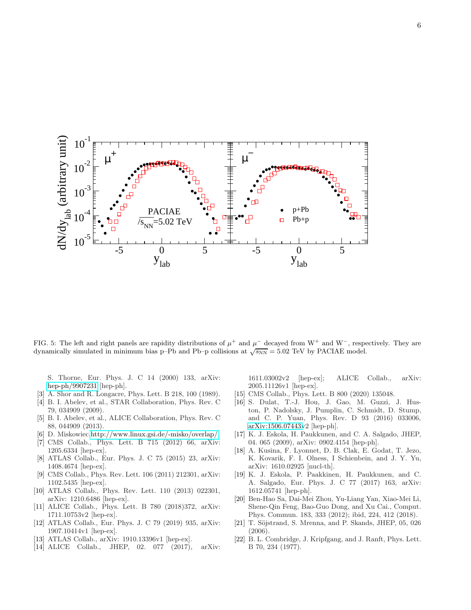

<span id="page-5-15"></span>FIG. 5: The left and right panels are rapidity distributions of  $\mu^+$  and  $\mu^-$  decayed from W<sup>+</sup> and W<sup>-</sup>, respectively. They are dynamically simulated in minimum bias p–Pb and Pb–p collisions at  $\sqrt{s_{NN}} = 5.02$  TeV by PACIAE model.

S. Thorne, Eur. Phys. J. C 14 (2000) 133, arXiv: [hep-ph/9907231](http://arxiv.org/abs/hep-ph/9907231) [hep-ph].

- <span id="page-5-0"></span>[3] A. Shor and R. Longacre, Phys. Lett. B 218, 100 (1989).
- [4] B. I. Abelev, et al., STAR Collaboration, Phys. Rev. C 79, 034909 (2009).
- <span id="page-5-14"></span>[5] B. I. Abelev, et al., ALICE Collaboration, Phys. Rev. C 88, 044909 (2013).
- <span id="page-5-1"></span>[6] D. Miskowiec[,http://www.linux.gsi.de/-misko/overlap/.](http://www.linux.gsi.de/-misko/overlap/)
- <span id="page-5-2"></span>[7] CMS Collab., Phys. Lett. B 715 (2012) 66, arXiv: 1205.6334 [hep-ex].
- [8] ATLAS Collab., Eur. Phys. J. C 75 (2015) 23, arXiv: 1408.4674 [hep-ex].
- [9] CMS Collab., Phys. Rev. Lett. 106 (2011) 212301, arXiv: 1102.5435 [hep-ex].
- <span id="page-5-3"></span>[10] ATLAS Collab., Phys. Rev. Lett. 110 (2013) 022301, arXiv: 1210.6486 [hep-ex].
- <span id="page-5-4"></span>[11] ALICE Collab., Phys. Lett. B 780 (2018)372, arXiv: 1711.10753v2 [hep-ex].
- <span id="page-5-5"></span>[12] ATLAS Collab., Eur. Phys. J. C 79 (2019) 935, arXiv: 1907.10414v1 [hep-ex].
- <span id="page-5-6"></span>[13] ATLAS Collab., arXiv: 1910.13396v1 [hep-ex].
- <span id="page-5-7"></span>[14] ALICE Collab., JHEP, 02. 077 (2017), arXiv:

1611.03002v2 [hep-ex]; ALICE Collab., arXiv: 2005.11126v1 [hep-ex].

- <span id="page-5-8"></span>[15] CMS Collab., Phys. Lett. B 800 (2020) 135048.
- <span id="page-5-9"></span>[16] S. Dulat, T.-J. Hou, J. Gao, M. Guzzi, J. Huston, P. Nadolsky, J. Pumplin, C. Schmidt, D. Stump, and C. P. Yuan, Phys. Rev. D 93 (2016) 033006, [arXiv:1506.07443v](http://arxiv.org/abs/1506.07443)2 [hep-ph].
- [17] K. J. Eskola, H. Paukkunen, and C. A. Salgado, JHEP, 04. 065 (2009), arXiv: 0902.4154 [hep-ph].
- [18] A. Kusina, F. Lyonnet, D. B. Clak, E. Godat, T. Jezo, K. Kovarik, F. I. Olness, I Schienbein, and J. Y. Yu, arXiv: 1610.02925 [nucl-th].
- <span id="page-5-10"></span>[19] K. J. Eskola, P. Paakkinen, H. Paukkunen, and C. A. Salgado, Eur. Phys. J. C 77 (2017) 163, arXiv: 1612.05741 [hep-ph].
- <span id="page-5-11"></span>[20] Ben-Hao Sa, Dai-Mei Zhou, Yu-Liang Yan, Xiao-Mei Li, Shene-Qin Feng, Bao-Guo Dong, and Xu Cai., Comput. Phys. Commun. 183, 333 (2012); ibid, 224, 412 (2018).
- <span id="page-5-12"></span>[21] T. Söjstrand, S. Mrenna, and P. Skands, JHEP, 05, 026 (2006).
- <span id="page-5-13"></span>[22] B. L. Combridge, J. Kripfgang, and J. Ranft, Phys. Lett. B 70, 234 (1977).